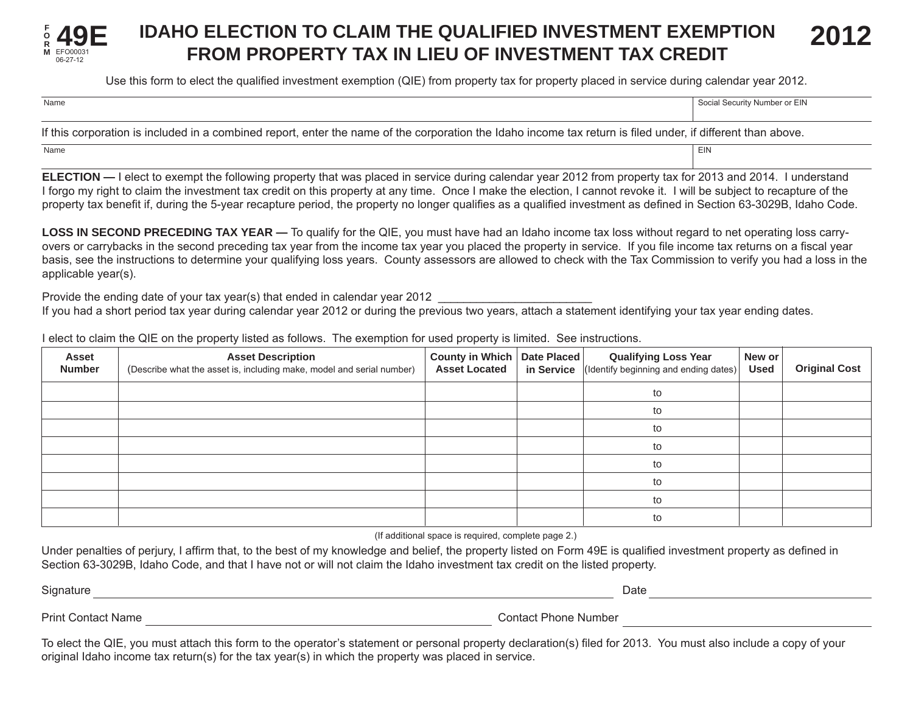

## **IDAHO ELECTION TO CLAIM THE QUALIFIED INVESTMENT EXEMPTION FROM PROPERTY TAX IN LIEU OF INVESTMENT TAX CREDIT 2012**

Use this form to elect the qualified investment exemption (QIE) from property tax for property placed in service during calendar year 2012.

| Name                                                                                                                                                         | Social Security Number or EIN |
|--------------------------------------------------------------------------------------------------------------------------------------------------------------|-------------------------------|
|                                                                                                                                                              |                               |
| If this corporation is included in a combined report, enter the name of the corporation the Idaho income tax return is filed under, if different than above. |                               |

**ELECTION —** I elect to exempt the following property that was placed in service during calendar year 2012 from property tax for 2013 and 2014. I understand I forgo my right to claim the investment tax credit on this property at any time. Once I make the election, I cannot revoke it. I will be subject to recapture of the property tax benefit if, during the 5-year recapture period, the property no longer qualifies as a qualified investment as defined in Section 63-3029B, Idaho Code.

**LOSS IN SECOND PRECEDING TAX YEAR —** To qualify for the QIE, you must have had an Idaho income tax loss without regard to net operating loss carryovers or carrybacks in the second preceding tax year from the income tax year you placed the property in service. If you file income tax returns on a fiscal year basis, see the instructions to determine your qualifying loss years. County assessors are allowed to check with the Tax Commission to verify you had a loss in the applicable year(s).

Provide the ending date of your tax year(s) that ended in calendar year 2012 If you had a short period tax year during calendar year 2012 or during the previous two years, attach a statement identifying your tax year ending dates.

I elect to claim the QIE on the property listed as follows. The exemption for used property is limited. See instructions.

Name **EIN** Name **EIN** 

| Asset<br><b>Number</b> | <b>Asset Description</b><br>(Describe what the asset is, including make, model and serial number) | County in Which   Date Placed  <br><b>Asset Located</b> | <b>Qualifying Loss Year</b><br>in Service $\left $ (Identify beginning and ending dates) | New or<br><b>Used</b> | <b>Original Cost</b> |
|------------------------|---------------------------------------------------------------------------------------------------|---------------------------------------------------------|------------------------------------------------------------------------------------------|-----------------------|----------------------|
|                        |                                                                                                   |                                                         | to                                                                                       |                       |                      |
|                        |                                                                                                   |                                                         | to                                                                                       |                       |                      |
|                        |                                                                                                   |                                                         | to                                                                                       |                       |                      |
|                        |                                                                                                   |                                                         | to                                                                                       |                       |                      |
|                        |                                                                                                   |                                                         | to                                                                                       |                       |                      |
|                        |                                                                                                   |                                                         | to                                                                                       |                       |                      |
|                        |                                                                                                   |                                                         | to                                                                                       |                       |                      |
|                        |                                                                                                   |                                                         | to                                                                                       |                       |                      |

(If additional space is required, complete page 2.)

Under penalties of perjury, I affirm that, to the best of my knowledge and belief, the property listed on Form 49E is qualified investment property as defined in Section 63-3029B, Idaho Code, and that I have not or will not claim the Idaho investment tax credit on the listed property.

Signature Date Print Contact Name **Contact Phone Number** Contact Phone Number

To elect the QIE, you must attach this form to the operator's statement or personal property declaration(s) filed for 2013. You must also include a copy of your original Idaho income tax return(s) for the tax year(s) in which the property was placed in service.